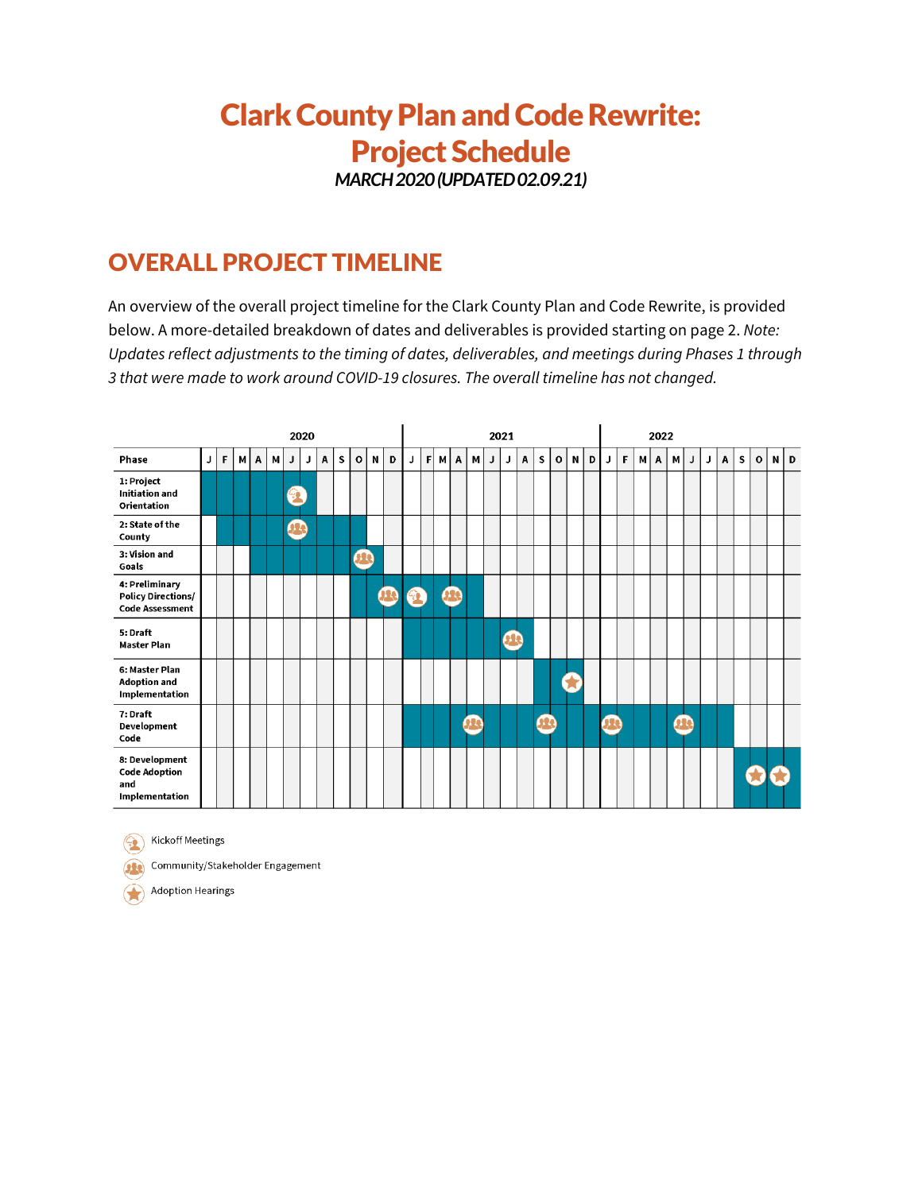## **Clark County Plan and Code Rewrite:** Project Schedule

*MARCH2020(UPDATED 02.09.21)*

## OVERALL PROJECT TIMELINE

An overview of the overall project timeline for the Clark County Plan and Code Rewrite, is provided below. A more-detailed breakdown of dates and deliverables is provided starting on page 2. *Note: Updates reflect adjustments to the timing of dates, deliverables, and meetings during Phases 1 through 3 that were made to work around COVID-19 closures. The overall timeline has not changed.*



**Com** Kickoff Meetings

Community/Stakeholder Engagement

Adoption Hearings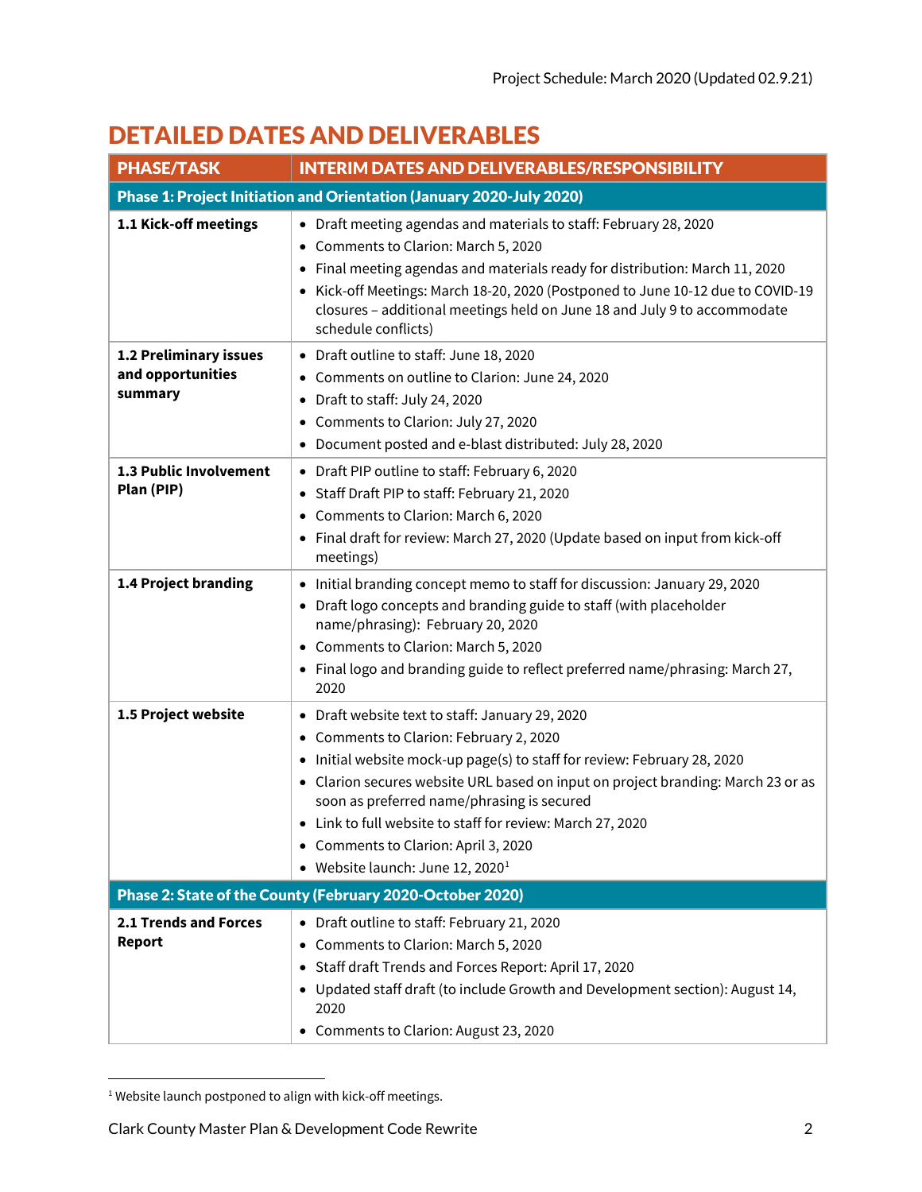## DETAILED DATES AND DELIVERABLES

| <b>PHASE/TASK</b>                                      | <b>INTERIM DATES AND DELIVERABLES/RESPONSIBILITY</b>                                                                                                                                                                                                                                                                                                                                                                                                           |
|--------------------------------------------------------|----------------------------------------------------------------------------------------------------------------------------------------------------------------------------------------------------------------------------------------------------------------------------------------------------------------------------------------------------------------------------------------------------------------------------------------------------------------|
|                                                        | Phase 1: Project Initiation and Orientation (January 2020-July 2020)                                                                                                                                                                                                                                                                                                                                                                                           |
| 1.1 Kick-off meetings                                  | • Draft meeting agendas and materials to staff: February 28, 2020<br>• Comments to Clarion: March 5, 2020<br>• Final meeting agendas and materials ready for distribution: March 11, 2020<br>• Kick-off Meetings: March 18-20, 2020 (Postponed to June 10-12 due to COVID-19<br>closures - additional meetings held on June 18 and July 9 to accommodate<br>schedule conflicts)                                                                                |
| 1.2 Preliminary issues<br>and opportunities<br>summary | • Draft outline to staff: June 18, 2020<br>• Comments on outline to Clarion: June 24, 2020<br>• Draft to staff: July 24, 2020<br>• Comments to Clarion: July 27, 2020<br>• Document posted and e-blast distributed: July 28, 2020                                                                                                                                                                                                                              |
| 1.3 Public Involvement<br>Plan (PIP)                   | • Draft PIP outline to staff: February 6, 2020<br>• Staff Draft PIP to staff: February 21, 2020<br>• Comments to Clarion: March 6, 2020<br>• Final draft for review: March 27, 2020 (Update based on input from kick-off<br>meetings)                                                                                                                                                                                                                          |
| 1.4 Project branding                                   | • Initial branding concept memo to staff for discussion: January 29, 2020<br>• Draft logo concepts and branding guide to staff (with placeholder<br>name/phrasing): February 20, 2020<br>• Comments to Clarion: March 5, 2020<br>• Final logo and branding guide to reflect preferred name/phrasing: March 27,<br>2020                                                                                                                                         |
| 1.5 Project website                                    | • Draft website text to staff: January 29, 2020<br>• Comments to Clarion: February 2, 2020<br>• Initial website mock-up page(s) to staff for review: February 28, 2020<br>• Clarion secures website URL based on input on project branding: March 23 or as<br>soon as preferred name/phrasing is secured<br>• Link to full website to staff for review: March 27, 2020<br>• Comments to Clarion: April 3, 2020<br>• Website launch: June 12, 2020 <sup>1</sup> |
|                                                        | Phase 2: State of the County (February 2020-October 2020)                                                                                                                                                                                                                                                                                                                                                                                                      |
| <b>2.1 Trends and Forces</b><br><b>Report</b>          | • Draft outline to staff: February 21, 2020<br>• Comments to Clarion: March 5, 2020<br>• Staff draft Trends and Forces Report: April 17, 2020<br>• Updated staff draft (to include Growth and Development section): August 14,<br>2020<br>• Comments to Clarion: August 23, 2020                                                                                                                                                                               |

<span id="page-1-0"></span><sup>&</sup>lt;sup>1</sup> Website launch postponed to align with kick-off meetings.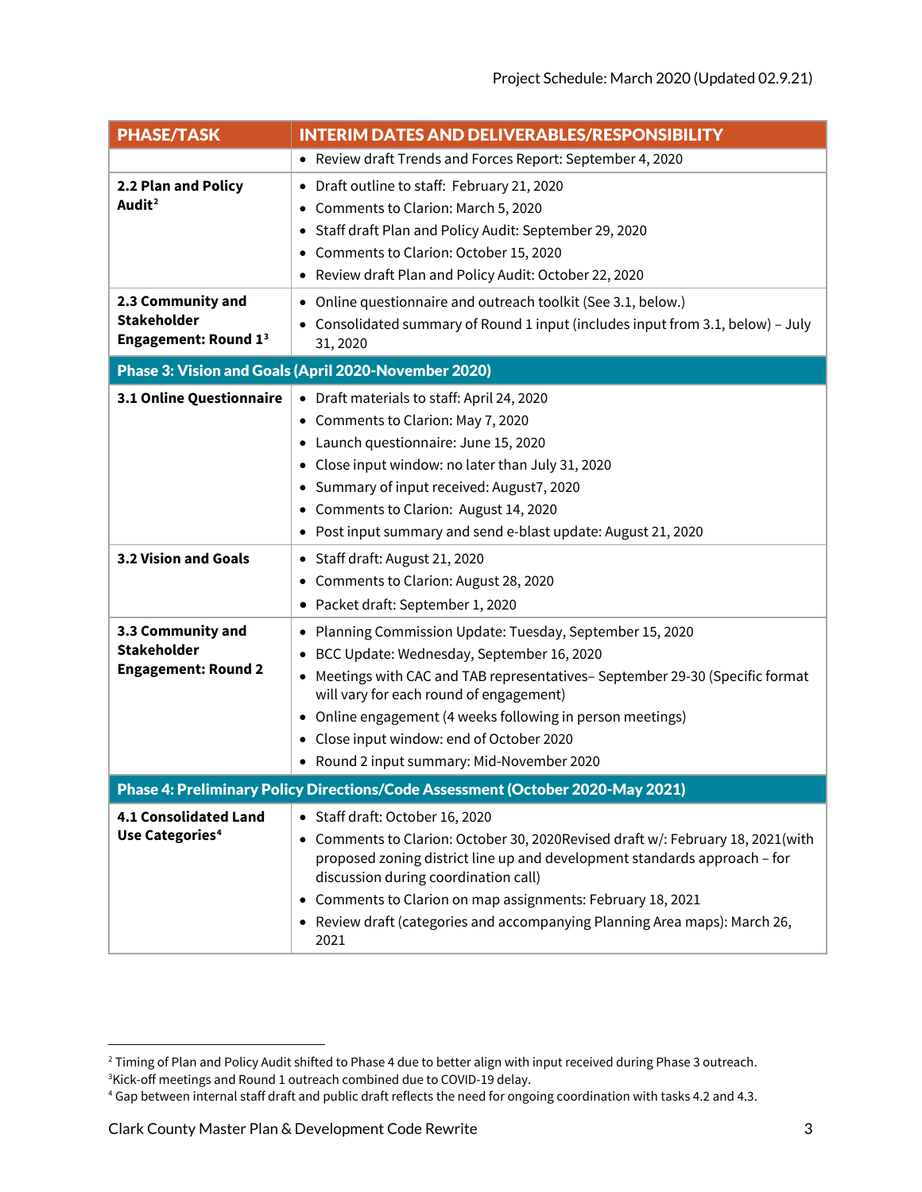| <b>PHASE/TASK</b>                                                              | <b>INTERIM DATES AND DELIVERABLES/RESPONSIBILITY</b>                                                                                                                                                                                                                                                                                                                                           |  |
|--------------------------------------------------------------------------------|------------------------------------------------------------------------------------------------------------------------------------------------------------------------------------------------------------------------------------------------------------------------------------------------------------------------------------------------------------------------------------------------|--|
|                                                                                | • Review draft Trends and Forces Report: September 4, 2020                                                                                                                                                                                                                                                                                                                                     |  |
| 2.2 Plan and Policy<br>Audit <sup>2</sup>                                      | • Draft outline to staff: February 21, 2020<br>• Comments to Clarion: March 5, 2020<br>• Staff draft Plan and Policy Audit: September 29, 2020<br>• Comments to Clarion: October 15, 2020<br>• Review draft Plan and Policy Audit: October 22, 2020                                                                                                                                            |  |
| 2.3 Community and<br><b>Stakeholder</b><br><b>Engagement: Round 13</b>         | • Online questionnaire and outreach toolkit (See 3.1, below.)<br>• Consolidated summary of Round 1 input (includes input from 3.1, below) - July<br>31, 2020                                                                                                                                                                                                                                   |  |
| Phase 3: Vision and Goals (April 2020-November 2020)                           |                                                                                                                                                                                                                                                                                                                                                                                                |  |
| 3.1 Online Questionnaire                                                       | • Draft materials to staff: April 24, 2020<br>• Comments to Clarion: May 7, 2020<br>• Launch questionnaire: June 15, 2020<br>• Close input window: no later than July 31, 2020<br>• Summary of input received: August7, 2020<br>• Comments to Clarion: August 14, 2020<br>• Post input summary and send e-blast update: August 21, 2020                                                        |  |
| 3.2 Vision and Goals                                                           | • Staff draft: August 21, 2020<br>• Comments to Clarion: August 28, 2020<br>• Packet draft: September 1, 2020                                                                                                                                                                                                                                                                                  |  |
| 3.3 Community and<br><b>Stakeholder</b><br><b>Engagement: Round 2</b>          | • Planning Commission Update: Tuesday, September 15, 2020<br>BCC Update: Wednesday, September 16, 2020<br>• Meetings with CAC and TAB representatives- September 29-30 (Specific format<br>will vary for each round of engagement)<br>• Online engagement (4 weeks following in person meetings)<br>• Close input window: end of October 2020<br>• Round 2 input summary: Mid-November 2020    |  |
| Phase 4: Preliminary Policy Directions/Code Assessment (October 2020-May 2021) |                                                                                                                                                                                                                                                                                                                                                                                                |  |
| <b>4.1 Consolidated Land</b><br>Use Categories <sup>4</sup>                    | • Staff draft: October 16, 2020<br>• Comments to Clarion: October 30, 2020 Revised draft w/: February 18, 2021 (with<br>proposed zoning district line up and development standards approach - for<br>discussion during coordination call)<br>• Comments to Clarion on map assignments: February 18, 2021<br>• Review draft (categories and accompanying Planning Area maps): March 26,<br>2021 |  |

<span id="page-2-0"></span><sup>&</sup>lt;sup>2</sup> Timing of Plan and Policy Audit shifted to Phase 4 due to better align with input received during Phase 3 outreach. <sup>3</sup>Kick-off meetings and Round 1 outreach combined due to COVID-19 delay.

<span id="page-2-2"></span><span id="page-2-1"></span><sup>&</sup>lt;sup>4</sup> Gap between internal staff draft and public draft reflects the need for ongoing coordination with tasks 4.2 and 4.3.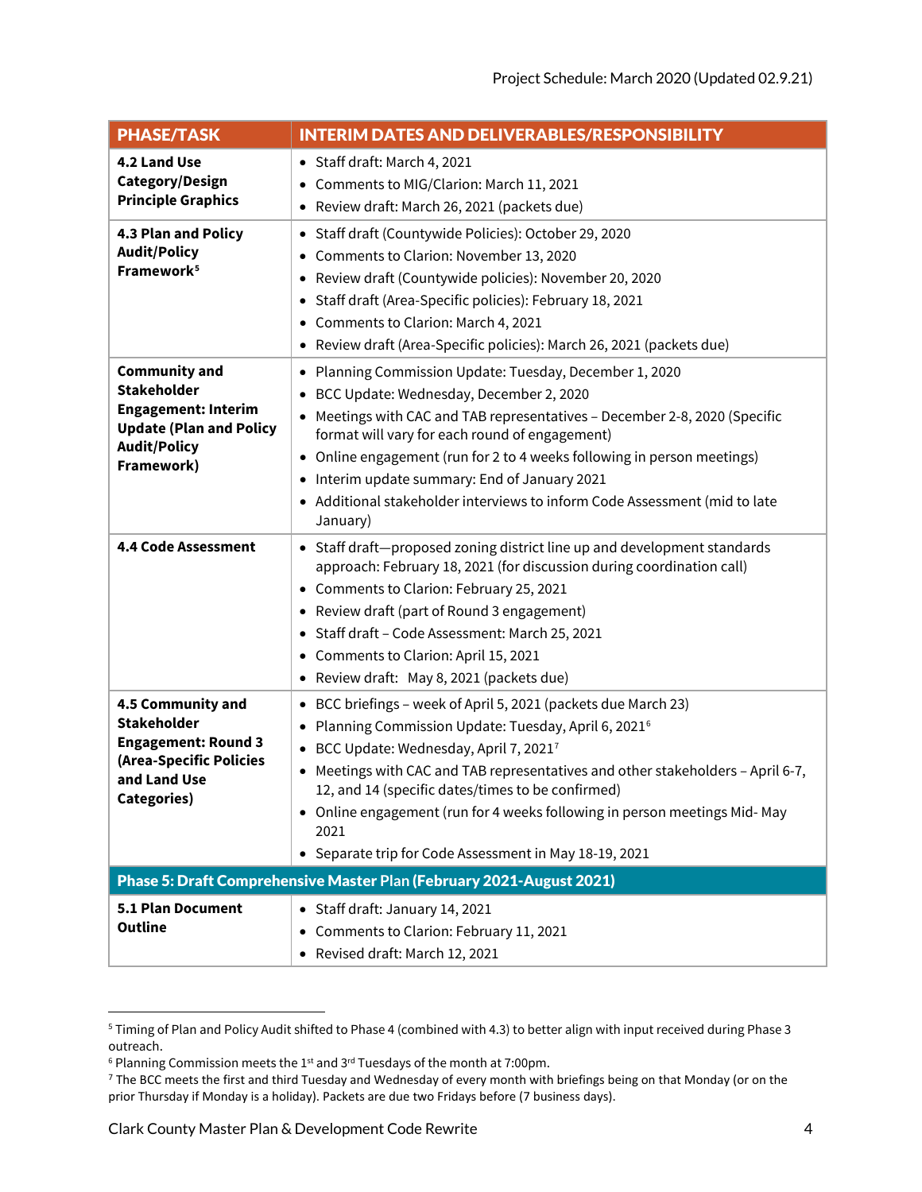| <b>PHASE/TASK</b>                                                                                                                               | <b>INTERIM DATES AND DELIVERABLES/RESPONSIBILITY</b>                                                                                                                                                                                                                                                                                                                                                                                                                  |
|-------------------------------------------------------------------------------------------------------------------------------------------------|-----------------------------------------------------------------------------------------------------------------------------------------------------------------------------------------------------------------------------------------------------------------------------------------------------------------------------------------------------------------------------------------------------------------------------------------------------------------------|
| 4.2 Land Use<br>Category/Design<br><b>Principle Graphics</b>                                                                                    | • Staff draft: March 4, 2021<br>• Comments to MIG/Clarion: March 11, 2021<br>• Review draft: March 26, 2021 (packets due)                                                                                                                                                                                                                                                                                                                                             |
| 4.3 Plan and Policy<br><b>Audit/Policy</b><br>Framework <sup>5</sup>                                                                            | • Staff draft (Countywide Policies): October 29, 2020<br>• Comments to Clarion: November 13, 2020<br>• Review draft (Countywide policies): November 20, 2020<br>• Staff draft (Area-Specific policies): February 18, 2021<br>• Comments to Clarion: March 4, 2021<br>• Review draft (Area-Specific policies): March 26, 2021 (packets due)                                                                                                                            |
| <b>Community and</b><br><b>Stakeholder</b><br><b>Engagement: Interim</b><br><b>Update (Plan and Policy</b><br><b>Audit/Policy</b><br>Framework) | • Planning Commission Update: Tuesday, December 1, 2020<br>• BCC Update: Wednesday, December 2, 2020<br>• Meetings with CAC and TAB representatives - December 2-8, 2020 (Specific<br>format will vary for each round of engagement)<br>• Online engagement (run for 2 to 4 weeks following in person meetings)<br>• Interim update summary: End of January 2021<br>• Additional stakeholder interviews to inform Code Assessment (mid to late<br>January)            |
| <b>4.4 Code Assessment</b>                                                                                                                      | • Staff draft-proposed zoning district line up and development standards<br>approach: February 18, 2021 (for discussion during coordination call)<br>• Comments to Clarion: February 25, 2021<br>• Review draft (part of Round 3 engagement)<br>• Staff draft - Code Assessment: March 25, 2021<br>• Comments to Clarion: April 15, 2021<br>• Review draft: May 8, 2021 (packets due)                                                                                 |
| 4.5 Community and<br><b>Stakeholder</b><br><b>Engagement: Round 3</b><br>(Area-Specific Policies<br>and Land Use<br><b>Categories)</b>          | • BCC briefings - week of April 5, 2021 (packets due March 23)<br>• Planning Commission Update: Tuesday, April 6, 2021 <sup>6</sup><br>• BCC Update: Wednesday, April 7, 20217<br>• Meetings with CAC and TAB representatives and other stakeholders - April 6-7,<br>12, and 14 (specific dates/times to be confirmed)<br>• Online engagement (run for 4 weeks following in person meetings Mid-May<br>2021<br>• Separate trip for Code Assessment in May 18-19, 2021 |
| Phase 5: Draft Comprehensive Master Plan (February 2021-August 2021)                                                                            |                                                                                                                                                                                                                                                                                                                                                                                                                                                                       |
| 5.1 Plan Document<br><b>Outline</b>                                                                                                             | • Staff draft: January 14, 2021<br>• Comments to Clarion: February 11, 2021<br>• Revised draft: March 12, 2021                                                                                                                                                                                                                                                                                                                                                        |

<span id="page-3-0"></span><sup>5</sup> Timing of Plan and Policy Audit shifted to Phase 4 (combined with 4.3) to better align with input received during Phase 3 outreach.

<span id="page-3-1"></span> $6$  Planning Commission meets the 1<sup>st</sup> and 3<sup>rd</sup> Tuesdays of the month at 7:00pm.

<span id="page-3-2"></span><sup>&</sup>lt;sup>7</sup> The BCC meets the first and third Tuesday and Wednesday of every month with briefings being on that Monday (or on the prior Thursday if Monday is a holiday). Packets are due two Fridays before (7 business days).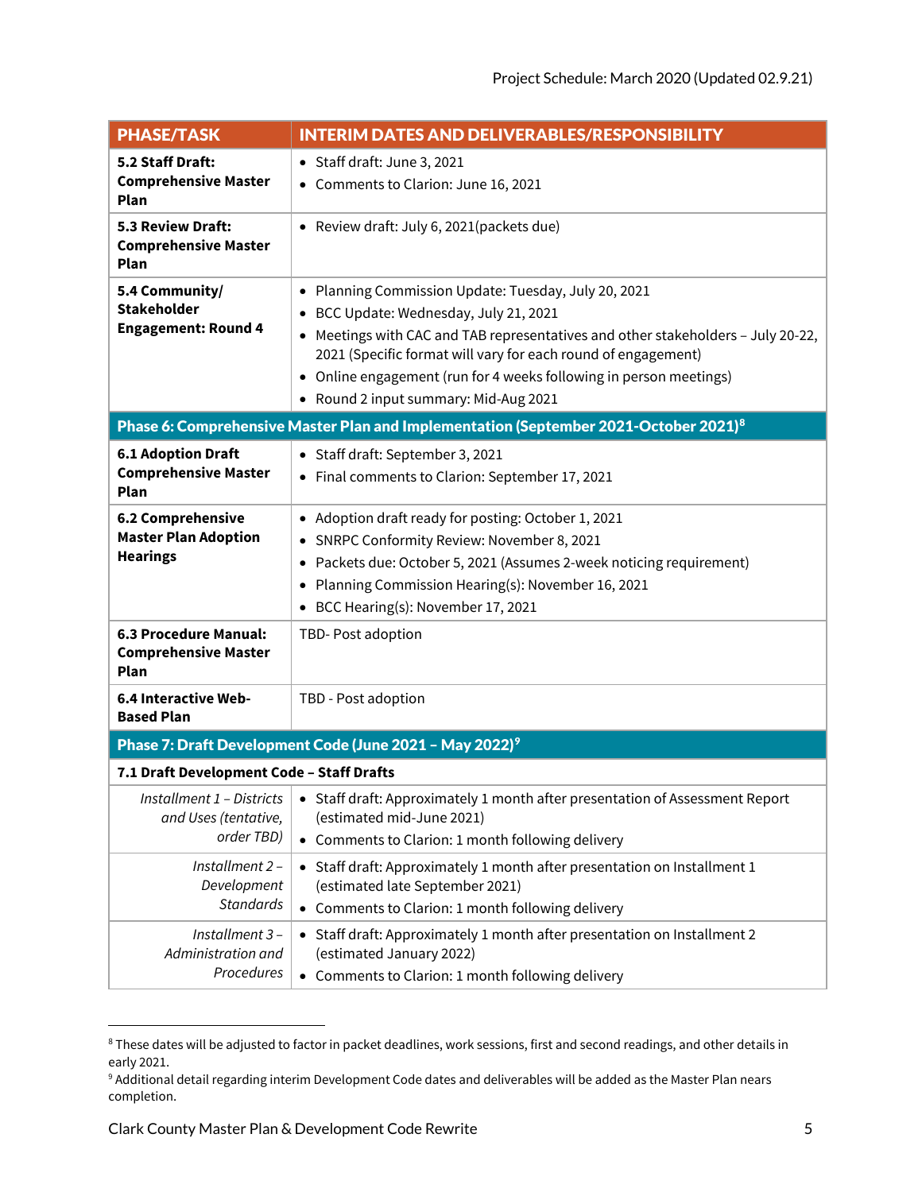| <b>PHASE/TASK</b>                                                                                | <b>INTERIM DATES AND DELIVERABLES/RESPONSIBILITY</b>                                                                                              |  |
|--------------------------------------------------------------------------------------------------|---------------------------------------------------------------------------------------------------------------------------------------------------|--|
| 5.2 Staff Draft:<br><b>Comprehensive Master</b>                                                  | • Staff draft: June 3, 2021                                                                                                                       |  |
| Plan                                                                                             | • Comments to Clarion: June 16, 2021                                                                                                              |  |
| 5.3 Review Draft:<br><b>Comprehensive Master</b>                                                 | • Review draft: July 6, 2021(packets due)                                                                                                         |  |
| <b>Plan</b>                                                                                      |                                                                                                                                                   |  |
| 5.4 Community/                                                                                   | • Planning Commission Update: Tuesday, July 20, 2021                                                                                              |  |
| <b>Stakeholder</b><br><b>Engagement: Round 4</b>                                                 | • BCC Update: Wednesday, July 21, 2021                                                                                                            |  |
|                                                                                                  | • Meetings with CAC and TAB representatives and other stakeholders - July 20-22,<br>2021 (Specific format will vary for each round of engagement) |  |
|                                                                                                  | • Online engagement (run for 4 weeks following in person meetings)                                                                                |  |
|                                                                                                  | • Round 2 input summary: Mid-Aug 2021                                                                                                             |  |
| Phase 6: Comprehensive Master Plan and Implementation (September 2021-October 2021) <sup>8</sup> |                                                                                                                                                   |  |
| <b>6.1 Adoption Draft</b>                                                                        | • Staff draft: September 3, 2021                                                                                                                  |  |
| <b>Comprehensive Master</b><br>Plan                                                              | • Final comments to Clarion: September 17, 2021                                                                                                   |  |
| 6.2 Comprehensive                                                                                | • Adoption draft ready for posting: October 1, 2021                                                                                               |  |
| <b>Master Plan Adoption</b>                                                                      | • SNRPC Conformity Review: November 8, 2021                                                                                                       |  |
| <b>Hearings</b>                                                                                  | • Packets due: October 5, 2021 (Assumes 2-week noticing requirement)                                                                              |  |
|                                                                                                  | • Planning Commission Hearing(s): November 16, 2021                                                                                               |  |
|                                                                                                  | • BCC Hearing(s): November 17, 2021                                                                                                               |  |
| 6.3 Procedure Manual:<br><b>Comprehensive Master</b><br><b>Plan</b>                              | TBD-Post adoption                                                                                                                                 |  |
| 6.4 Interactive Web-                                                                             | TBD - Post adoption                                                                                                                               |  |
| <b>Based Plan</b>                                                                                |                                                                                                                                                   |  |
|                                                                                                  | Phase 7: Draft Development Code (June 2021 - May 2022) <sup>9</sup>                                                                               |  |
| 7.1 Draft Development Code - Staff Drafts                                                        |                                                                                                                                                   |  |
| Installment $1$ – Districts $\vert$                                                              | • Staff draft: Approximately 1 month after presentation of Assessment Report                                                                      |  |
| and Uses (tentative,<br>order TBD)                                                               | (estimated mid-June 2021)<br>• Comments to Clarion: 1 month following delivery                                                                    |  |
| Installment 2-                                                                                   | • Staff draft: Approximately 1 month after presentation on Installment 1                                                                          |  |
| Development                                                                                      | (estimated late September 2021)                                                                                                                   |  |
| <b>Standards</b>                                                                                 | • Comments to Clarion: 1 month following delivery                                                                                                 |  |
| Installment 3-                                                                                   | • Staff draft: Approximately 1 month after presentation on Installment 2                                                                          |  |
| Administration and                                                                               | (estimated January 2022)                                                                                                                          |  |
| Procedures                                                                                       | Comments to Clarion: 1 month following delivery<br>$\bullet$                                                                                      |  |

<span id="page-4-0"></span><sup>&</sup>lt;sup>8</sup> These dates will be adjusted to factor in packet deadlines, work sessions, first and second readings, and other details in early 2021.<br><sup>9</sup> Additional detail regarding interim Development Code dates and deliverables will be added as the Master Plan nears

<span id="page-4-1"></span>completion.